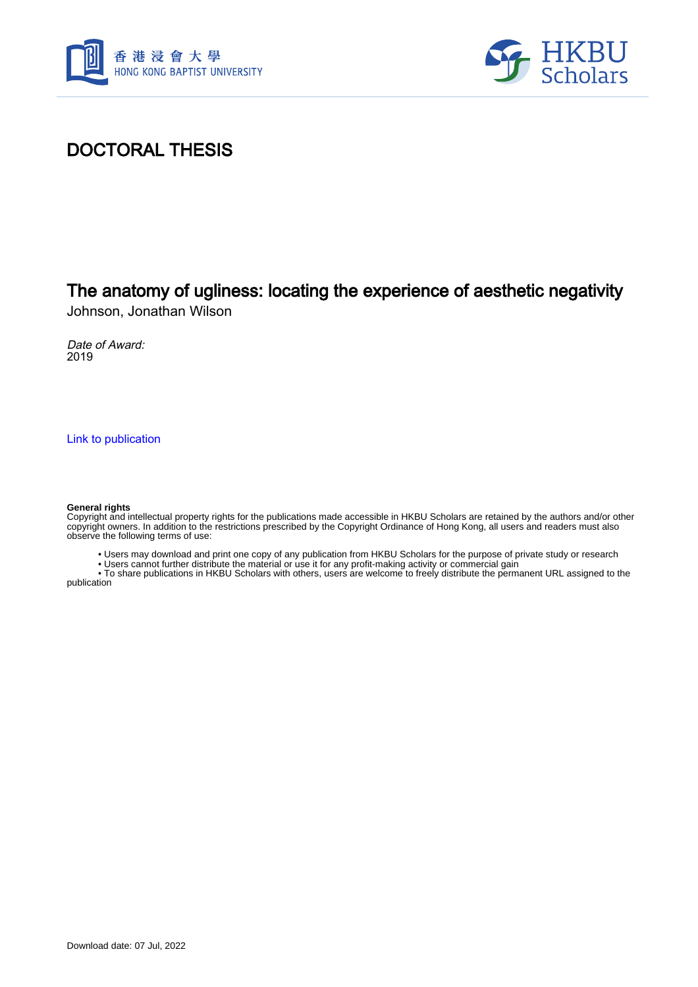



## DOCTORAL THESIS

# The anatomy of ugliness: locating the experience of aesthetic negativity

Johnson, Jonathan Wilson

Date of Award: 2019

[Link to publication](https://scholars.hkbu.edu.hk/en/studentTheses/e0662cea-22e3-48bf-9931-092ecf37908d)

#### **General rights**

Copyright and intellectual property rights for the publications made accessible in HKBU Scholars are retained by the authors and/or other copyright owners. In addition to the restrictions prescribed by the Copyright Ordinance of Hong Kong, all users and readers must also observe the following terms of use:

• Users may download and print one copy of any publication from HKBU Scholars for the purpose of private study or research

• Users cannot further distribute the material or use it for any profit-making activity or commercial gain

 • To share publications in HKBU Scholars with others, users are welcome to freely distribute the permanent URL assigned to the publication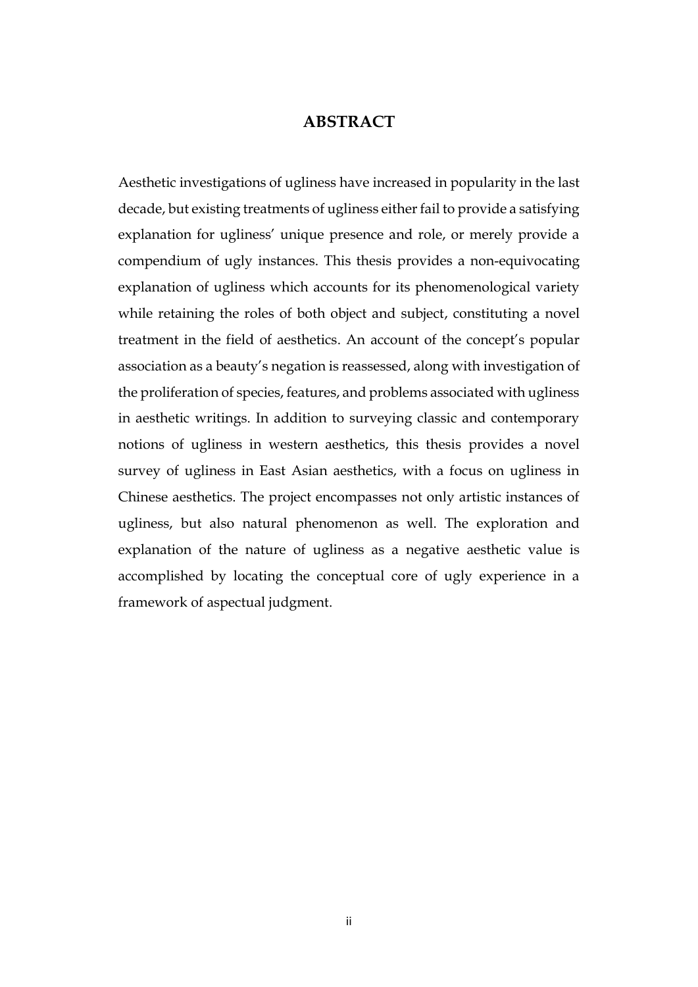### **ABSTRACT**

Aesthetic investigations of ugliness have increased in popularity in the last decade, but existing treatments of ugliness either fail to provide a satisfying explanation for ugliness' unique presence and role, or merely provide a compendium of ugly instances. This thesis provides a non-equivocating explanation of ugliness which accounts for its phenomenological variety while retaining the roles of both object and subject, constituting a novel treatment in the field of aesthetics. An account of the concept's popular association as a beauty's negation is reassessed, along with investigation of the proliferation of species, features, and problems associated with ugliness in aesthetic writings. In addition to surveying classic and contemporary notions of ugliness in western aesthetics, this thesis provides a novel survey of ugliness in East Asian aesthetics, with a focus on ugliness in Chinese aesthetics. The project encompasses not only artistic instances of ugliness, but also natural phenomenon as well. The exploration and explanation of the nature of ugliness as a negative aesthetic value is accomplished by locating the conceptual core of ugly experience in a framework of aspectual judgment.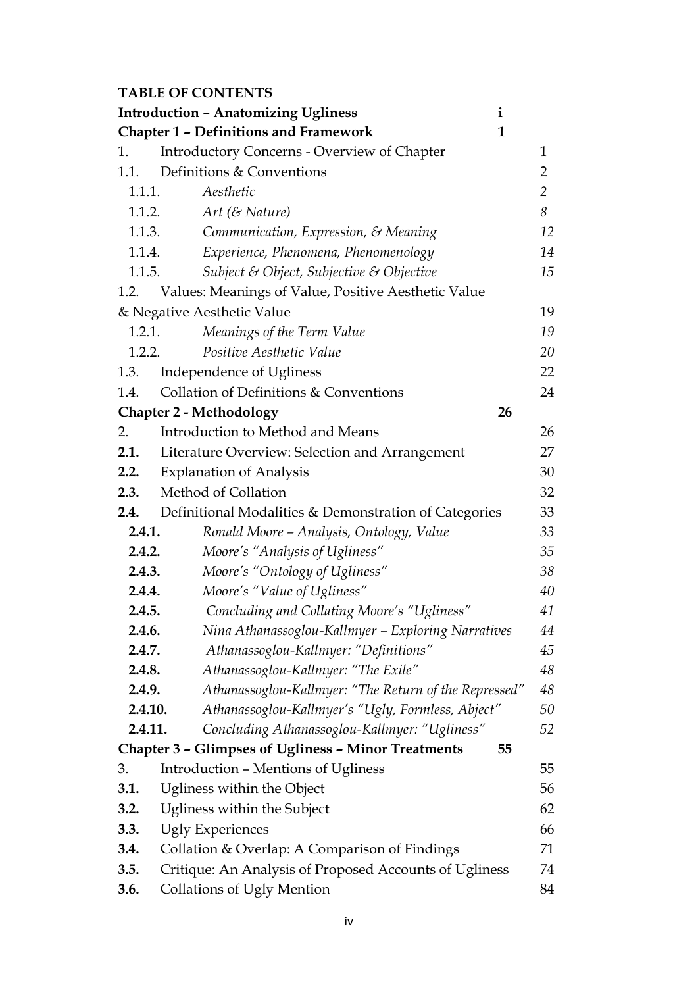### **TABLE OF CONTENTS**

|                                                              | <b>Introduction - Anatomizing Ugliness</b><br>$\mathbf{i}$       |                |
|--------------------------------------------------------------|------------------------------------------------------------------|----------------|
| <b>Chapter 1 - Definitions and Framework</b><br>$\mathbf{1}$ |                                                                  |                |
| 1.                                                           | <b>Introductory Concerns - Overview of Chapter</b>               | $\mathbf{1}$   |
| 1.1.                                                         | Definitions & Conventions                                        | $\overline{2}$ |
| 1.1.1.                                                       | Aesthetic                                                        | $\overline{2}$ |
| 1.1.2.                                                       | $Art (&$ Nature)                                                 | 8              |
| 1.1.3.                                                       | Communication, Expression, & Meaning                             | 12             |
| 1.1.4.                                                       | Experience, Phenomena, Phenomenology                             | 14             |
| 1.1.5.                                                       | Subject & Object, Subjective & Objective                         | 15             |
|                                                              | 1.2. Values: Meanings of Value, Positive Aesthetic Value         |                |
|                                                              | & Negative Aesthetic Value                                       | 19             |
| 1.2.1.                                                       | Meanings of the Term Value                                       | 19             |
| 1.2.2.                                                       | Positive Aesthetic Value                                         | 20             |
| 1.3.                                                         | Independence of Ugliness                                         | 22             |
| 1.4.                                                         | Collation of Definitions & Conventions                           | 24             |
|                                                              | <b>Chapter 2 - Methodology</b><br>26                             |                |
| 2.                                                           | Introduction to Method and Means                                 | 26             |
| 2.1.                                                         | Literature Overview: Selection and Arrangement                   | 27             |
| 2.2.                                                         | <b>Explanation of Analysis</b>                                   | 30             |
| 2.3.                                                         | Method of Collation                                              | 32             |
| 2.4.                                                         | Definitional Modalities & Demonstration of Categories            | 33             |
| 2.4.1.                                                       | Ronald Moore - Analysis, Ontology, Value                         | 33             |
| 2.4.2.                                                       | Moore's "Analysis of Ugliness"                                   | 35             |
| 2.4.3.                                                       | Moore's "Ontology of Ugliness"                                   | 38             |
| 2.4.4.                                                       | Moore's "Value of Ugliness"                                      | 40             |
| 2.4.5.                                                       | Concluding and Collating Moore's "Ugliness"                      | 41             |
| 2.4.6.                                                       | Nina Athanassoglou-Kallmyer - Exploring Narratives               | 44             |
| 2.4.7.                                                       | Athanassoglou-Kallmyer: "Definitions"                            | 45             |
| 2.4.8.                                                       | Athanassoglou-Kallmyer: "The Exile"                              | 48             |
| 2.4.9.                                                       | Athanassoglou-Kallmyer: "The Return of the Repressed"            | 48             |
| 2.4.10.                                                      | Athanassoglou-Kallmyer's "Ugly, Formless, Abject"                | 50             |
| 2.4.11.                                                      | Concluding Athanassoglou-Kallmyer: "Ugliness"                    | 52             |
|                                                              | <b>Chapter 3 - Glimpses of Ugliness - Minor Treatments</b><br>55 |                |
| 3.                                                           | <b>Introduction - Mentions of Ugliness</b>                       | 55             |
| 3.1.                                                         | Ugliness within the Object                                       | 56             |
| 3.2.                                                         | Ugliness within the Subject                                      | 62             |
| 3.3.                                                         | <b>Ugly Experiences</b><br>66                                    |                |
| 3.4.                                                         | Collation & Overlap: A Comparison of Findings                    | 71             |
| 3.5.                                                         | Critique: An Analysis of Proposed Accounts of Ugliness<br>74     |                |
| 3.6.                                                         | Collations of Ugly Mention                                       | 84             |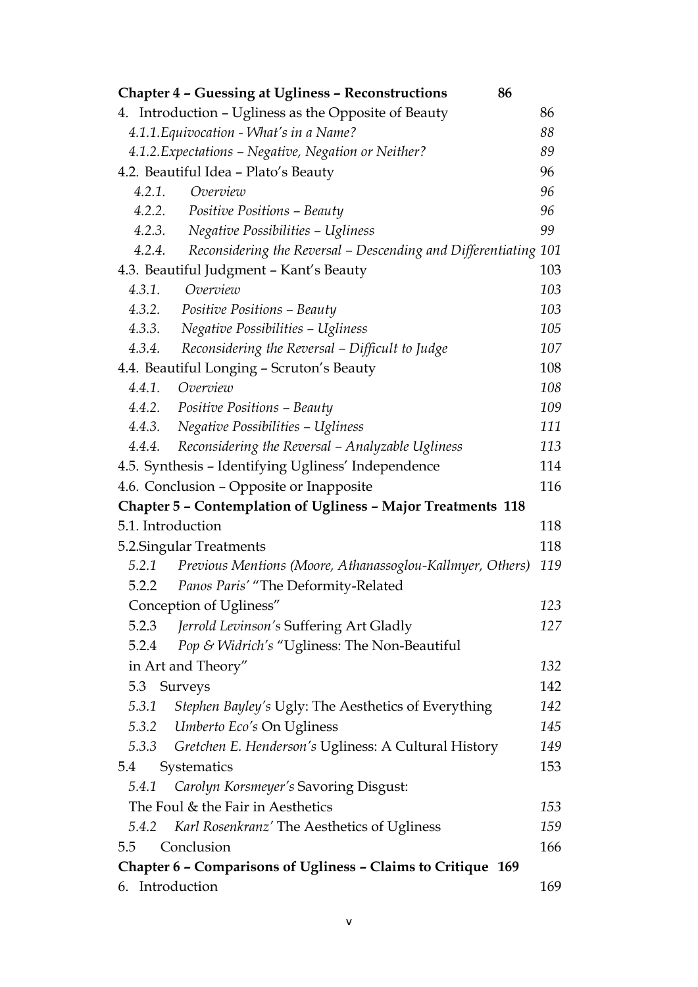|                                                              | <b>Chapter 4 - Guessing at Ugliness - Reconstructions</b>       | 86  |  |  |
|--------------------------------------------------------------|-----------------------------------------------------------------|-----|--|--|
|                                                              | 4. Introduction - Ugliness as the Opposite of Beauty            | 86  |  |  |
| 4.1.1. Equivocation - What's in a Name?                      |                                                                 | 88  |  |  |
|                                                              | 4.1.2. Expectations - Negative, Negation or Neither?            | 89  |  |  |
| 4.2. Beautiful Idea - Plato's Beauty                         |                                                                 |     |  |  |
| 4.2.1.<br>Overview                                           |                                                                 | 96  |  |  |
| 4.2.2. Positive Positions - Beauty                           |                                                                 | 96  |  |  |
| 4.2.3. Negative Possibilities - Ugliness                     |                                                                 | 99  |  |  |
| 4.2.4.                                                       | Reconsidering the Reversal – Descending and Differentiating 101 |     |  |  |
| 4.3. Beautiful Judgment - Kant's Beauty                      |                                                                 | 103 |  |  |
| Overview<br>4.3.1.                                           |                                                                 | 103 |  |  |
| 4.3.2. Positive Positions – Beauty                           |                                                                 | 103 |  |  |
| 4.3.3.                                                       | Negative Possibilities - Ugliness                               | 105 |  |  |
| 4.3.4.                                                       | Reconsidering the Reversal - Difficult to Judge                 | 107 |  |  |
| 4.4. Beautiful Longing - Scruton's Beauty                    |                                                                 | 108 |  |  |
| 4.4.1. Overview                                              |                                                                 | 108 |  |  |
| 4.4.2. Positive Positions - Beauty                           |                                                                 | 109 |  |  |
| 4.4.3.                                                       | Negative Possibilities - Ugliness                               | 111 |  |  |
| 4.4.4.                                                       | Reconsidering the Reversal - Analyzable Ugliness                | 113 |  |  |
|                                                              | 4.5. Synthesis - Identifying Ugliness' Independence             | 114 |  |  |
| 4.6. Conclusion – Opposite or Inapposite                     |                                                                 | 116 |  |  |
|                                                              | Chapter 5 - Contemplation of Ugliness - Major Treatments 118    |     |  |  |
| 5.1. Introduction                                            |                                                                 | 118 |  |  |
| 5.2. Singular Treatments                                     |                                                                 | 118 |  |  |
| 5.2.1                                                        | Previous Mentions (Moore, Athanassoglou-Kallmyer, Others)       | 119 |  |  |
| 5.2.2                                                        | Panos Paris' "The Deformity-Related                             |     |  |  |
| Conception of Ugliness"                                      |                                                                 | 123 |  |  |
|                                                              | 5.2.3 <i>Jerrold Levinson's</i> Suffering Art Gladly            | 127 |  |  |
| 5.2.4                                                        | Pop & Widrich's "Ugliness: The Non-Beautiful                    |     |  |  |
| in Art and Theory"                                           |                                                                 | 132 |  |  |
| 5.3 Surveys                                                  |                                                                 | 142 |  |  |
| 5.3.1                                                        | Stephen Bayley's Ugly: The Aesthetics of Everything             | 142 |  |  |
| 5.3.2 Umberto Eco's On Ugliness                              |                                                                 | 145 |  |  |
|                                                              | 5.3.3 Gretchen E. Henderson's Ugliness: A Cultural History      | 149 |  |  |
| Systematics<br>5.4                                           |                                                                 | 153 |  |  |
|                                                              | 5.4.1 Carolyn Korsmeyer's Savoring Disgust:                     |     |  |  |
| The Foul & the Fair in Aesthetics                            |                                                                 | 153 |  |  |
| 5.4.2                                                        | Karl Rosenkranz' The Aesthetics of Ugliness                     | 159 |  |  |
| Conclusion<br>5.5                                            |                                                                 | 166 |  |  |
| Chapter 6 - Comparisons of Ugliness - Claims to Critique 169 |                                                                 |     |  |  |
| 6. Introduction<br>169                                       |                                                                 |     |  |  |
|                                                              |                                                                 |     |  |  |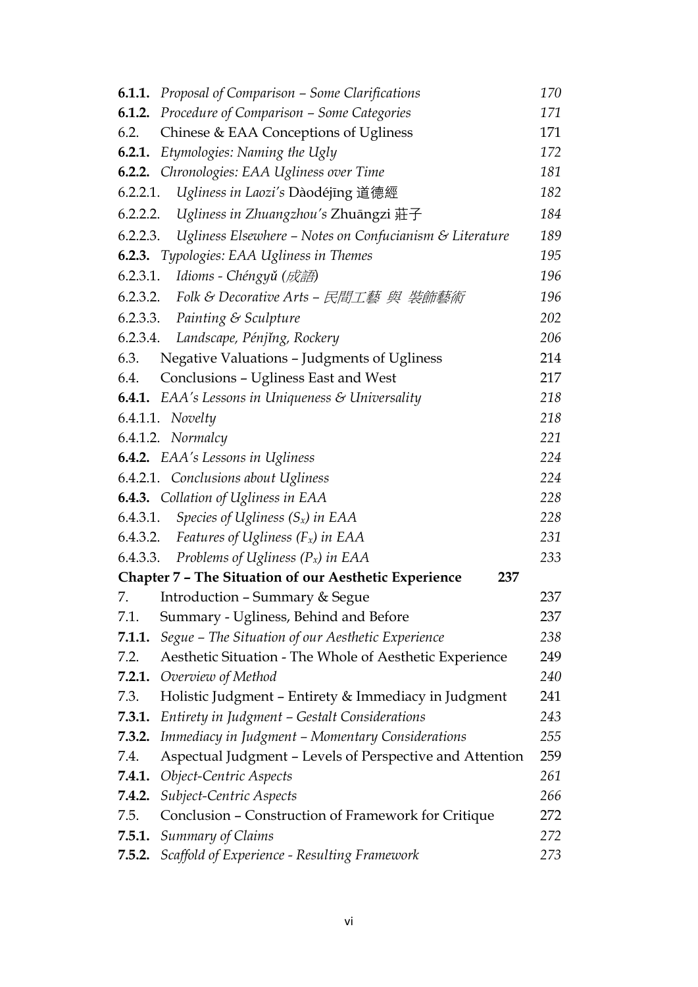| <b>6.1.1.</b> Proposal of Comparison – Some Clarifications          | 170 |  |
|---------------------------------------------------------------------|-----|--|
| Procedure of Comparison - Some Categories<br>6.1.2.                 | 171 |  |
| Chinese & EAA Conceptions of Ugliness<br>6.2.                       | 171 |  |
| Etymologies: Naming the Ugly<br>6.2.1.                              | 172 |  |
| <b>6.2.2.</b> Chronologies: EAA Ugliness over Time                  | 181 |  |
| Ugliness in Laozi's Dàodéjīng 道德經<br>6.2.2.1.                       | 182 |  |
| Ugliness in Zhuangzhou's Zhuāngzi 莊子<br>6.2.2.2.                    | 184 |  |
| Ugliness Elsewhere - Notes on Confucianism & Literature<br>6.2.2.3. | 189 |  |
| 6.2.3. Typologies: EAA Ugliness in Themes                           | 195 |  |
| 6.2.3.1. Idioms - Chéngyǔ (成語)                                      | 196 |  |
| 6.2.3.2. Folk & Decorative Arts – 民間工藝 與 裝飾藝術                       | 196 |  |
| 6.2.3.3. Painting & Sculpture                                       | 202 |  |
| 6.2.3.4. Landscape, Pénjing, Rockery                                | 206 |  |
| Negative Valuations - Judgments of Ugliness<br>6.3.                 | 214 |  |
| Conclusions - Ugliness East and West<br>6.4.                        | 217 |  |
| <b>6.4.1.</b> EAA's Lessons in Uniqueness $\&$ Universality         | 218 |  |
| $6.4.1.1.$ Novelty                                                  | 218 |  |
| 6.4.1.2. Normalcy                                                   | 221 |  |
| <b>6.4.2.</b> EAA's Lessons in Ugliness                             |     |  |
| 6.4.2.1. Conclusions about Ugliness                                 |     |  |
| <b>6.4.3.</b> Collation of Ugliness in EAA                          |     |  |
| Species of Ugliness $(S_x)$ in EAA<br>6.4.3.1.                      | 228 |  |
| Features of Ugliness $(F_x)$ in EAA<br>6.4.3.2.                     | 231 |  |
| Problems of Ugliness $(P_x)$ in EAA<br>6.4.3.3.                     | 233 |  |
| <b>Chapter 7 - The Situation of our Aesthetic Experience</b><br>237 |     |  |
| <b>Introduction - Summary &amp; Segue</b><br>7.                     | 237 |  |
| 7.1.<br>Summary - Ugliness, Behind and Before                       | 237 |  |
| Segue - The Situation of our Aesthetic Experience<br>7.1.1.         | 238 |  |
| Aesthetic Situation - The Whole of Aesthetic Experience<br>7.2.     | 249 |  |
| Overview of Method<br>7.2.1.                                        | 240 |  |
| 7.3.<br>Holistic Judgment - Entirety & Immediacy in Judgment        | 241 |  |
| Entirety in Judgment - Gestalt Considerations<br>7.3.1.             | 243 |  |
| Immediacy in Judgment - Momentary Considerations<br>7.3.2.          | 255 |  |
| Aspectual Judgment - Levels of Perspective and Attention<br>7.4.    | 259 |  |
| Object-Centric Aspects<br>7.4.1.                                    | 261 |  |
| Subject-Centric Aspects<br>7.4.2.                                   | 266 |  |
| 7.5.<br>Conclusion – Construction of Framework for Critique         | 272 |  |
| 7.5.1.<br><b>Summary of Claims</b>                                  | 272 |  |
| Scaffold of Experience - Resulting Framework<br>7.5.2.              | 273 |  |